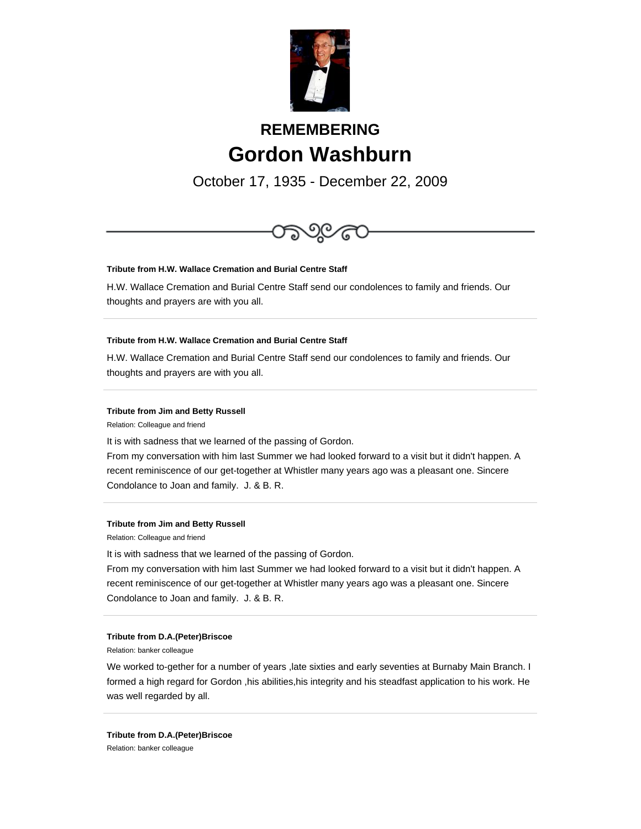

# **REMEMBERING Gordon Washburn**

October 17, 1935 - December 22, 2009



# **Tribute from H.W. Wallace Cremation and Burial Centre Staff**

H.W. Wallace Cremation and Burial Centre Staff send our condolences to family and friends. Our thoughts and prayers are with you all.

## **Tribute from H.W. Wallace Cremation and Burial Centre Staff**

H.W. Wallace Cremation and Burial Centre Staff send our condolences to family and friends. Our thoughts and prayers are with you all.

#### **Tribute from Jim and Betty Russell**

Relation: Colleague and friend

It is with sadness that we learned of the passing of Gordon.

From my conversation with him last Summer we had looked forward to a visit but it didn't happen. A recent reminiscence of our get-together at Whistler many years ago was a pleasant one. Sincere Condolance to Joan and family. J. & B. R.

#### **Tribute from Jim and Betty Russell**

Relation: Colleague and friend

It is with sadness that we learned of the passing of Gordon.

From my conversation with him last Summer we had looked forward to a visit but it didn't happen. A recent reminiscence of our get-together at Whistler many years ago was a pleasant one. Sincere Condolance to Joan and family. J. & B. R.

#### **Tribute from D.A.(Peter)Briscoe**

Relation: banker colleague

We worked to-gether for a number of years ,late sixties and early seventies at Burnaby Main Branch. I formed a high regard for Gordon ,his abilities,his integrity and his steadfast application to his work. He was well regarded by all.

**Tribute from D.A.(Peter)Briscoe** Relation: banker colleague